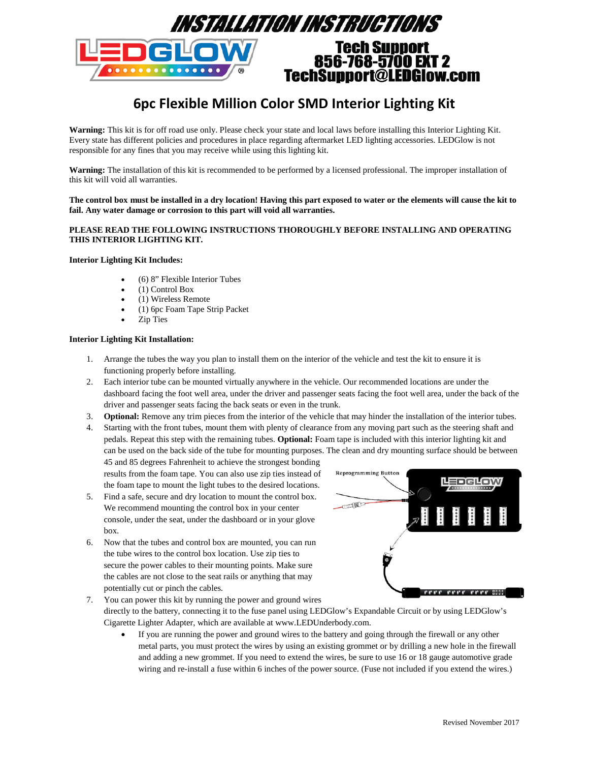

# **6pc Flexible Million Color SMD Interior Lighting Kit**

**Warning:** This kit is for off road use only. Please check your state and local laws before installing this Interior Lighting Kit. Every state has different policies and procedures in place regarding aftermarket LED lighting accessories. LEDGlow is not responsible for any fines that you may receive while using this lighting kit.

**Warning:** The installation of this kit is recommended to be performed by a licensed professional. The improper installation of this kit will void all warranties.

**The control box must be installed in a dry location! Having this part exposed to water or the elements will cause the kit to fail. Any water damage or corrosion to this part will void all warranties.**

# **PLEASE READ THE FOLLOWING INSTRUCTIONS THOROUGHLY BEFORE INSTALLING AND OPERATING THIS INTERIOR LIGHTING KIT.**

## **Interior Lighting Kit Includes:**

- (6) 8" Flexible Interior Tubes
- (1) Control Box
- (1) Wireless Remote
- (1) 6pc Foam Tape Strip Packet
- Zip Ties

# **Interior Lighting Kit Installation:**

- 1. Arrange the tubes the way you plan to install them on the interior of the vehicle and test the kit to ensure it is functioning properly before installing.
- 2. Each interior tube can be mounted virtually anywhere in the vehicle. Our recommended locations are under the dashboard facing the foot well area, under the driver and passenger seats facing the foot well area, under the back of the driver and passenger seats facing the back seats or even in the trunk.
- 3. **Optional:** Remove any trim pieces from the interior of the vehicle that may hinder the installation of the interior tubes.
- 4. Starting with the front tubes, mount them with plenty of clearance from any moving part such as the steering shaft and pedals. Repeat this step with the remaining tubes. **Optional:** Foam tape is included with this interior lighting kit and can be used on the back side of the tube for mounting purposes. The clean and dry mounting surface should be between

45 and 85 degrees Fahrenheit to achieve the strongest bonding results from the foam tape. You can also use zip ties instead of the foam tape to mount the light tubes to the desired locations.

- 5. Find a safe, secure and dry location to mount the control box. We recommend mounting the control box in your center console, under the seat, under the dashboard or in your glove box.
- 6. Now that the tubes and control box are mounted, you can run the tube wires to the control box location. Use zip ties to secure the power cables to their mounting points. Make sure the cables are not close to the seat rails or anything that may potentially cut or pinch the cables.



- 7. You can power this kit by running the power and ground wires
	- directly to the battery, connecting it to the fuse panel using LEDGlow's Expandable Circuit or by using LEDGlow's Cigarette Lighter Adapter, which are available at www.LEDUnderbody.com.
		- If you are running the power and ground wires to the battery and going through the firewall or any other metal parts, you must protect the wires by using an existing grommet or by drilling a new hole in the firewall and adding a new grommet. If you need to extend the wires, be sure to use 16 or 18 gauge automotive grade wiring and re-install a fuse within 6 inches of the power source. (Fuse not included if you extend the wires.)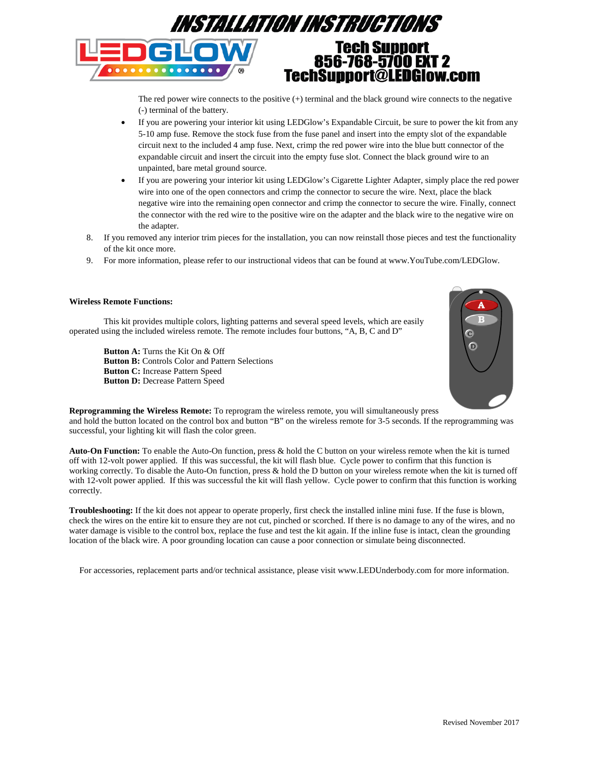

The red power wire connects to the positive (+) terminal and the black ground wire connects to the negative (-) terminal of the battery.

- If you are powering your interior kit using LEDGlow's Expandable Circuit, be sure to power the kit from any 5-10 amp fuse. Remove the stock fuse from the fuse panel and insert into the empty slot of the expandable circuit next to the included 4 amp fuse. Next, crimp the red power wire into the blue butt connector of the expandable circuit and insert the circuit into the empty fuse slot. Connect the black ground wire to an unpainted, bare metal ground source.
- If you are powering your interior kit using LEDGlow's Cigarette Lighter Adapter, simply place the red power wire into one of the open connectors and crimp the connector to secure the wire. Next, place the black negative wire into the remaining open connector and crimp the connector to secure the wire. Finally, connect the connector with the red wire to the positive wire on the adapter and the black wire to the negative wire on the adapter.
- 8. If you removed any interior trim pieces for the installation, you can now reinstall those pieces and test the functionality of the kit once more.
- 9. For more information, please refer to our instructional videos that can be found at www.YouTube.com/LEDGlow.

## **Wireless Remote Functions:**

This kit provides multiple colors, lighting patterns and several speed levels, which are easily operated using the included wireless remote. The remote includes four buttons, "A, B, C and D"

**Button A:** Turns the Kit On & Off **Button B:** Controls Color and Pattern Selections **Button C:** Increase Pattern Speed **Button D:** Decrease Pattern Speed



**Reprogramming the Wireless Remote:** To reprogram the wireless remote, you will simultaneously press and hold the button located on the control box and button "B" on the wireless remote for 3-5 seconds. If the reprogramming was successful, your lighting kit will flash the color green.

**Auto-On Function:** To enable the Auto-On function, press & hold the C button on your wireless remote when the kit is turned off with 12-volt power applied. If this was successful, the kit will flash blue. Cycle power to confirm that this function is working correctly. To disable the Auto-On function, press & hold the D button on your wireless remote when the kit is turned off with 12-volt power applied. If this was successful the kit will flash yellow. Cycle power to confirm that this function is working correctly.

**Troubleshooting:** If the kit does not appear to operate properly, first check the installed inline mini fuse. If the fuse is blown, check the wires on the entire kit to ensure they are not cut, pinched or scorched. If there is no damage to any of the wires, and no water damage is visible to the control box, replace the fuse and test the kit again. If the inline fuse is intact, clean the grounding location of the black wire. A poor grounding location can cause a poor connection or simulate being disconnected.

For accessories, replacement parts and/or technical assistance, please visit www.LEDUnderbody.com for more information.